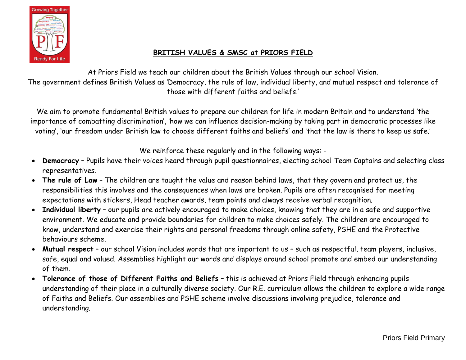

## **BRITISH VALUES & SMSC at PRIORS FIELD**

At Priors Field we teach our children about the British Values through our school Vision. The government defines British Values as 'Democracy, the rule of law, individual liberty, and mutual respect and tolerance of those with different faiths and beliefs.'

We aim to promote fundamental British values to prepare our children for life in modern Britain and to understand 'the importance of combatting discrimination', 'how we can influence decision-making by taking part in democratic processes like voting', 'our freedom under British law to choose different faiths and beliefs' and 'that the law is there to keep us safe.'

We reinforce these regularly and in the following ways: -

- **Democracy** Pupils have their voices heard through pupil questionnaires, electing school Team Captains and selecting class representatives.
- **The rule of Law** The children are taught the value and reason behind laws, that they govern and protect us, the responsibilities this involves and the consequences when laws are broken. Pupils are often recognised for meeting expectations with stickers, Head teacher awards, team points and always receive verbal recognition.
- **Individual liberty** our pupils are actively encouraged to make choices, knowing that they are in a safe and supportive environment. We educate and provide boundaries for children to make choices safely. The children are encouraged to know, understand and exercise their rights and personal freedoms through online safety, PSHE and the Protective behaviours scheme.
- **Mutual respect** our school Vision includes words that are important to us such as respectful, team players, inclusive, safe, equal and valued. Assemblies highlight our words and displays around school promote and embed our understanding of them.
- **Tolerance of those of Different Faiths and Beliefs** this is achieved at Priors Field through enhancing pupils understanding of their place in a culturally diverse society. Our R.E. curriculum allows the children to explore a wide range of Faiths and Beliefs. Our assemblies and PSHE scheme involve discussions involving prejudice, tolerance and understanding.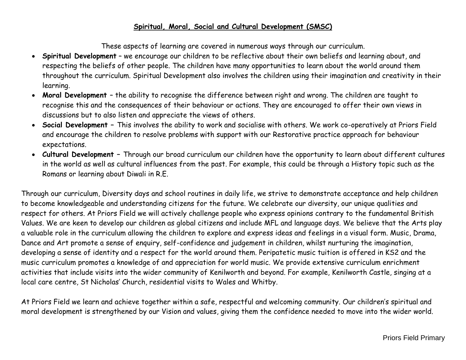## **Spiritual, Moral, Social and Cultural Development (SMSC)**

These aspects of learning are covered in numerous ways through our curriculum.

- **Spiritual Development** we encourage our children to be reflective about their own beliefs and learning about, and respecting the beliefs of other people. The children have many opportunities to learn about the world around them throughout the curriculum. Spiritual Development also involves the children using their imagination and creativity in their learning.
- **Moral Development**  the ability to recognise the difference between right and wrong. The children are taught to recognise this and the consequences of their behaviour or actions. They are encouraged to offer their own views in discussions but to also listen and appreciate the views of others.
- **Social Development –** This involves the ability to work and socialise with others. We work co-operatively at Priors Field and encourage the children to resolve problems with support with our Restorative practice approach for behaviour expectations.
- **Cultural Development –** Through our broad curriculum our children have the opportunity to learn about different cultures in the world as well as cultural influences from the past. For example, this could be through a History topic such as the Romans or learning about Diwali in R.E.

Through our curriculum, Diversity days and school routines in daily life, we strive to demonstrate acceptance and help children to become knowledgeable and understanding citizens for the future. We celebrate our diversity, our unique qualities and respect for others. At Priors Field we will actively challenge people who express opinions contrary to the fundamental British Values. We are keen to develop our children as global citizens and include MFL and language days. We believe that the Arts play a valuable role in the curriculum allowing the children to explore and express ideas and feelings in a visual form. Music, Drama, Dance and Art promote a sense of enquiry, self-confidence and judgement in children, whilst nurturing the imagination, developing a sense of identity and a respect for the world around them. Peripatetic music tuition is offered in KS2 and the music curriculum promotes a knowledge of and appreciation for world music. We provide extensive curriculum enrichment activities that include visits into the wider community of Kenilworth and beyond. For example, Kenilworth Castle, singing at a local care centre, St Nicholas' Church, residential visits to Wales and Whitby.

At Priors Field we learn and achieve together within a safe, respectful and welcoming community. Our children's spiritual and moral development is strengthened by our Vision and values, giving them the confidence needed to move into the wider world.